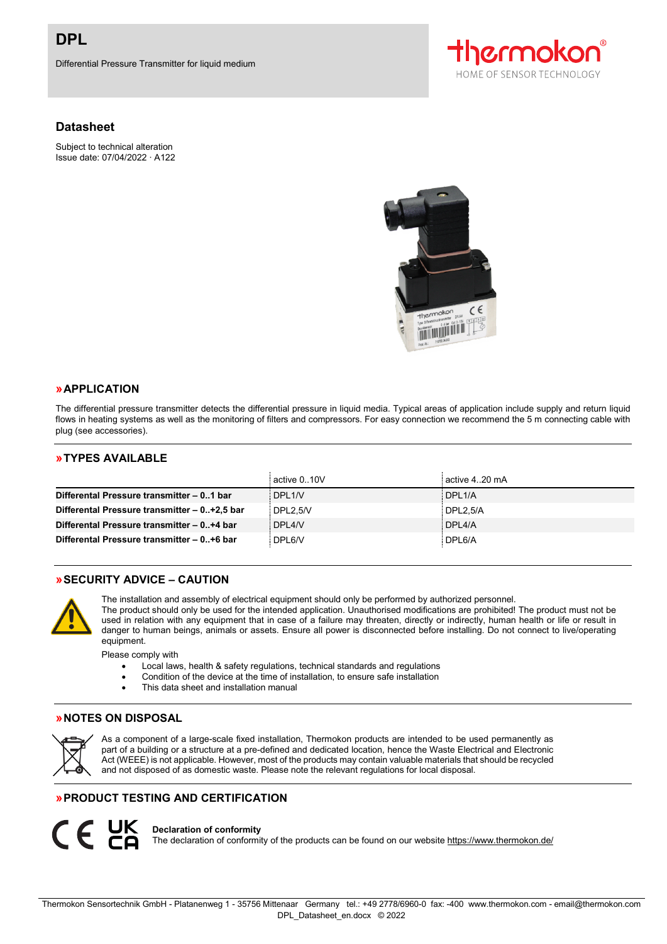Differential Pressure Transmitter for liquid medium

# **Datasheet**

Subject to technical alteration Issue date: 07/04/2022 ∙ A122





#### **»APPLICATION**

The differential pressure transmitter detects the differential pressure in liquid media. Typical areas of application include supply and return liquid flows in heating systems as well as the monitoring of filters and compressors. For easy connection we recommend the 5 m connecting cable with plug (see accessories).

#### **»TYPES AVAILABLE**

|                                              | active 0.10V | active 420 mA |
|----------------------------------------------|--------------|---------------|
| Differental Pressure transmitter - 01 bar    | DPL1/V       | DPL1/A        |
| Differental Pressure transmitter - 0+2,5 bar | DPL2.5N      | DPL2.5/A      |
| Differental Pressure transmitter - 0+4 bar   | DPL4/V       | DPL4/A        |
| Differental Pressure transmitter - 0+6 bar   | DPL6/V       | DPL6/A        |

# **»SECURITY ADVICE – CAUTION**



The installation and assembly of electrical equipment should only be performed by authorized personnel.

The product should only be used for the intended application. Unauthorised modifications are prohibited! The product must not be used in relation with any equipment that in case of a failure may threaten, directly or indirectly, human health or life or result in danger to human beings, animals or assets. Ensure all power is disconnected before installing. Do not connect to live/operating equipment.

Please comply with

- Local laws, health & safety regulations, technical standards and regulations
- Condition of the device at the time of installation, to ensure safe installation
- This data sheet and installation manual

#### **»NOTES ON DISPOSAL**



 $C \in Y^{\times}$ 

As a component of a large-scale fixed installation, Thermokon products are intended to be used permanently as part of a building or a structure at a pre-defined and dedicated location, hence the Waste Electrical and Electronic Act (WEEE) is not applicable. However, most of the products may contain valuable materials that should be recycled and not disposed of as domestic waste. Please note the relevant regulations for local disposal.

# **»PRODUCT TESTING AND CERTIFICATION**

#### **Declaration of conformity**

The declaration of conformity of the products can be found on our websit[e https://www.thermokon.de/](https://www.thermokon.de/downloadcenter/)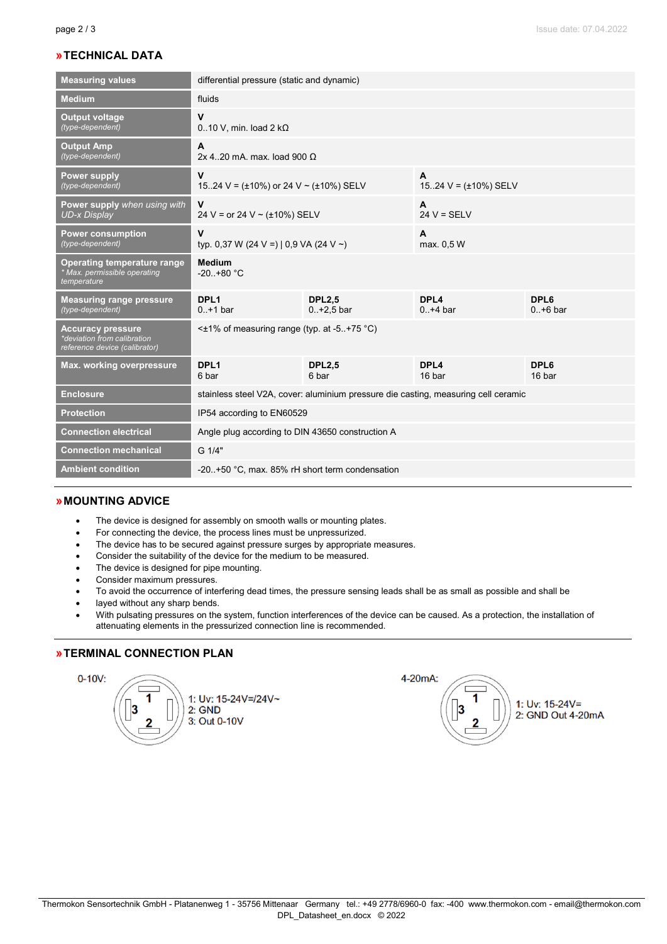# **»TECHNICAL DATA**

| <b>Measuring values</b>                                                                  | differential pressure (static and dynamic)                                         |                               |                                 |                    |  |
|------------------------------------------------------------------------------------------|------------------------------------------------------------------------------------|-------------------------------|---------------------------------|--------------------|--|
| <b>Medium</b>                                                                            | fluids                                                                             |                               |                                 |                    |  |
| <b>Output voltage</b><br>(type-dependent)                                                | v<br>$0.10$ V, min. load 2 k $\Omega$                                              |                               |                                 |                    |  |
| <b>Output Amp</b><br>(type-dependent)                                                    | A<br>2x 420 mA. max. load 900 $\Omega$                                             |                               |                                 |                    |  |
| <b>Power supply</b><br>(type-dependent)                                                  | $\mathbf v$<br>1524 V = $(\pm 10\%)$ or 24 V ~ $(\pm 10\%)$ SELV                   |                               | A<br>1524 $V = (\pm 10\%)$ SELV |                    |  |
| <b>Power supply</b> when using with<br><b>UD-x Display</b>                               | V<br>24 V = or 24 V ~ ( $\pm$ 10%) SELV                                            |                               | A<br>$24 V = SELV$              |                    |  |
| <b>Power consumption</b><br>(type-dependent)                                             | V<br>typ. 0,37 W (24 V =)   0,9 VA (24 V ~)                                        |                               | A<br>max. 0.5 W                 |                    |  |
| Operating temperature range<br>* Max. permissible operating<br>temperature               | <b>Medium</b><br>$-20. +80 °C$                                                     |                               |                                 |                    |  |
| <b>Measuring range pressure</b><br>(type-dependent)                                      | DPL <sub>1</sub><br>$0. + 1$ bar                                                   | <b>DPL2.5</b><br>$0.+2.5$ bar | DPL4<br>$0.+4$ bar              | DPL6<br>$0.+6$ bar |  |
| <b>Accuracy pressure</b><br>*deviation from calibration<br>reference device (calibrator) | $\leq$ 1% of measuring range (typ. at -5+75 °C)                                    |                               |                                 |                    |  |
| Max. working overpressure                                                                | DPL <sub>1</sub><br>6 bar                                                          | <b>DPL2.5</b><br>6 bar        | DPL4<br>16 bar                  | DPL6<br>16 bar     |  |
| <b>Enclosure</b>                                                                         | stainless steel V2A, cover: aluminium pressure die casting, measuring cell ceramic |                               |                                 |                    |  |
| <b>Protection</b>                                                                        | IP54 according to EN60529                                                          |                               |                                 |                    |  |
| <b>Connection electrical</b>                                                             | Angle plug according to DIN 43650 construction A                                   |                               |                                 |                    |  |
| <b>Connection mechanical</b>                                                             | G 1/4"                                                                             |                               |                                 |                    |  |
| <b>Ambient condition</b>                                                                 | -20+50 °C, max, 85% rH short term condensation                                     |                               |                                 |                    |  |

#### **»MOUNTING ADVICE**

- The device is designed for assembly on smooth walls or mounting plates.
- For connecting the device, the process lines must be unpressurized.
- The device has to be secured against pressure surges by appropriate measures.
- Consider the suitability of the device for the medium to be measured.
- The device is designed for pipe mounting.
- Consider maximum pressures.
- To avoid the occurrence of interfering dead times, the pressure sensing leads shall be as small as possible and shall be
- layed without any sharp bends.
- With pulsating pressures on the system, function interferences of the device can be caused. As a protection, the installation of attenuating elements in the pressurized connection line is recommended.

# **»TERMINAL CONNECTION PLAN**